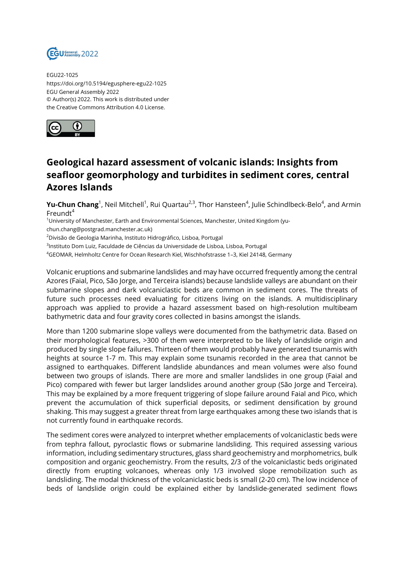

EGU22-1025 https://doi.org/10.5194/egusphere-egu22-1025 EGU General Assembly 2022 © Author(s) 2022. This work is distributed under the Creative Commons Attribution 4.0 License.



## **Geological hazard assessment of volcanic islands: Insights from seafloor geomorphology and turbidites in sediment cores, central Azores Islands**

**Yu-Chun Chang**<sup>1</sup>, Neil Mitchell<sup>1</sup>, Rui Quartau<sup>2,3</sup>, Thor Hansteen<sup>4</sup>, Julie Schindlbeck-Belo<sup>4</sup>, and Armin Freund $t^4$ 

<sup>1</sup>University of Manchester, Earth and Environmental Sciences, Manchester, United Kingdom (yu-

chun.chang@postgrad.manchester.ac.uk)

<sup>2</sup>Divisão de Geologia Marinha, Instituto Hidrográfico, Lisboa, Portugal

 $^{\text{3}}$ Instituto Dom Luiz, Faculdade de Ciências da Universidade de Lisboa, Lisboa, Portugal

<sup>4</sup>GEOMAR, Helmholtz Centre for Ocean Research Kiel, Wischhofstrasse 1–3, Kiel 24148, Germany

Volcanic eruptions and submarine landslides and may have occurred frequently among the central Azores (Faial, Pico, São Jorge, and Terceira islands) because landslide valleys are abundant on their submarine slopes and dark volcaniclastic beds are common in sediment cores. The threats of future such processes need evaluating for citizens living on the islands. A multidisciplinary approach was applied to provide a hazard assessment based on high-resolution multibeam bathymetric data and four gravity cores collected in basins amongst the islands.

More than 1200 submarine slope valleys were documented from the bathymetric data. Based on their morphological features, >300 of them were interpreted to be likely of landslide origin and produced by single slope failures. Thirteen of them would probably have generated tsunamis with heights at source 1-7 m. This may explain some tsunamis recorded in the area that cannot be assigned to earthquakes. Different landslide abundances and mean volumes were also found between two groups of islands. There are more and smaller landslides in one group (Faial and Pico) compared with fewer but larger landslides around another group (São Jorge and Terceira). This may be explained by a more frequent triggering of slope failure around Faial and Pico, which prevent the accumulation of thick superficial deposits, or sediment densification by ground shaking. This may suggest a greater threat from large earthquakes among these two islands that is not currently found in earthquake records.

The sediment cores were analyzed to interpret whether emplacements of volcaniclastic beds were from tephra fallout, pyroclastic flows or submarine landsliding. This required assessing various information, including sedimentary structures, glass shard geochemistry and morphometrics, bulk composition and organic geochemistry. From the results, 2/3 of the volcaniclastic beds originated directly from erupting volcanoes, whereas only 1/3 involved slope remobilization such as landsliding. The modal thickness of the volcaniclastic beds is small (2-20 cm). The low incidence of beds of landslide origin could be explained either by landslide-generated sediment flows